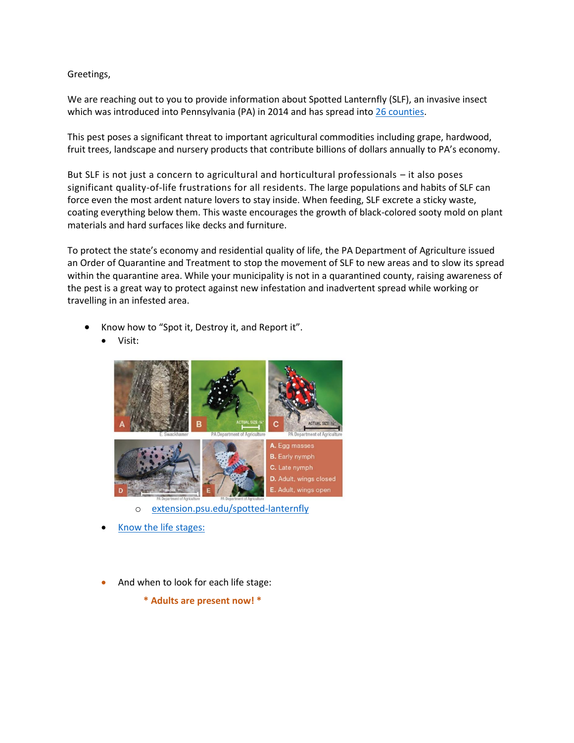Greetings,

We are reaching out to you to provide information about Spotted Lanternfly (SLF), an invasive insect which was introduced into Pennsylvania (PA) in 2014 and has spread into [26 counties.](https://www.agriculture.pa.gov/Plants_Land_Water/PlantIndustry/Entomology/spotted_lanternfly/quarantine/Documents/2020%20Quarantine%20Detailed.pdf)

This pest poses a significant threat to important agricultural commodities including grape, hardwood, fruit trees, landscape and nursery products that contribute billions of dollars annually to PA's economy.

But SLF is not just a concern to agricultural and horticultural professionals – it also poses significant quality-of-life frustrations for all residents. The large populations and habits of SLF can force even the most ardent nature lovers to stay inside. When feeding, SLF excrete a sticky waste, coating everything below them. This waste encourages the growth of black-colored sooty mold on plant materials and hard surfaces like decks and furniture.

To protect the state's economy and residential quality of life, the PA Department of Agriculture issued an Order of Quarantine and Treatment to stop the movement of SLF to new areas and to slow its spread within the quarantine area. While your municipality is not in a quarantined county, raising awareness of the pest is a great way to protect against new infestation and inadvertent spread while working or travelling in an infested area.

- Know how to "Spot it, Destroy it, and Report it".
	- Visit:



- o [extension.psu.edu/spotted-lanternfly](https://extension.psu.edu/spotted-lanternfly)
- [Know the life stages:](https://extension.psu.edu/spotted-lanternfly-what-to-look-for)
- And when to look for each life stage:

**\* Adults are present now! \***